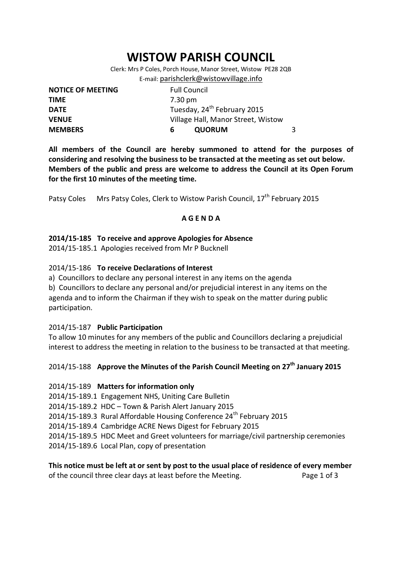# **WISTOW PARISH COUNCIL**

Clerk: Mrs P Coles, Porch House, Manor Street, Wistow PE28 2QB E-mail: [parishclerk@wistowvillage.info](mailto:parishclerk@wistowvillage.info)

| <b>NOTICE OF MEETING</b> | <b>Full Council</b>                     |   |
|--------------------------|-----------------------------------------|---|
| <b>TIME</b>              | 7.30 pm                                 |   |
| <b>DATE</b>              | Tuesday, 24 <sup>th</sup> February 2015 |   |
| <b>VENUE</b>             | Village Hall, Manor Street, Wistow      |   |
| <b>MEMBERS</b>           | <b>QUORUM</b><br>6                      | 3 |

**All members of the Council are hereby summoned to attend for the purposes of considering and resolving the business to be transacted at the meeting as set out below. Members of the public and press are welcome to address the Council at its Open Forum for the first 10 minutes of the meeting time.**

Patsy Coles Mrs Patsy Coles, Clerk to Wistow Parish Council, 17<sup>th</sup> February 2015

## **A G E N D A**

## **2014/15-185 To receive and approve Apologies for Absence**

2014/15-185.1 Apologies received from Mr P Bucknell

#### 2014/15-186 **To receive Declarations of Interest**

a) Councillors to declare any personal interest in any items on the agenda

b) Councillors to declare any personal and/or prejudicial interest in any items on the agenda and to inform the Chairman if they wish to speak on the matter during public participation.

## 2014/15-187 **Public Participation**

To allow 10 minutes for any members of the public and Councillors declaring a prejudicial interest to address the meeting in relation to the business to be transacted at that meeting.

## 2014/15-188 **Approve the Minutes of the Parish Council Meeting on 27th January 2015**

#### 2014/15-189 **Matters for information only**

2014/15-189.1 Engagement NHS, Uniting Care Bulletin

2014/15-189.2 HDC – Town & Parish Alert January 2015

2014/15-189.3 Rural Affordable Housing Conference 24<sup>th</sup> February 2015

2014/15-189.4 Cambridge ACRE News Digest for February 2015

2014/15-189.5 HDC Meet and Greet volunteers for marriage/civil partnership ceremonies

2014/15-189.6 Local Plan, copy of presentation

#### **This notice must be left at or sent by post to the usual place of residence of every member**  of the council three clear days at least before the Meeting. Page 1 of 3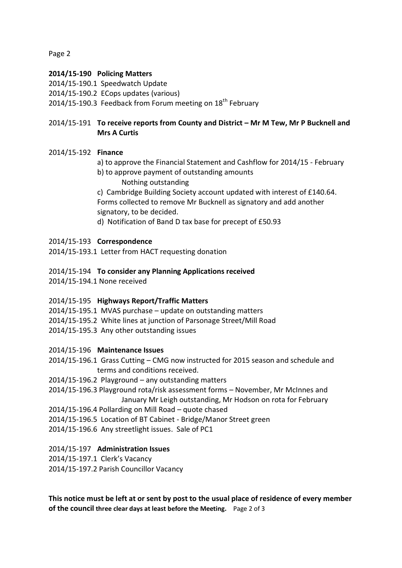Page 2

#### **2014/15-190 Policing Matters**

- 2014/15-190.1 Speedwatch Update
- 2014/15-190.2 ECops updates (various)
- 2014/15-190.3 Feedback from Forum meeting on  $18<sup>th</sup>$  February

## 2014/15-191 **To receive reports from County and District – Mr M Tew, Mr P Bucknell and Mrs A Curtis**

## 2014/15-192 **Finance**

- a) to approve the Financial Statement and Cashflow for 2014/15 February
- b) to approve payment of outstanding amounts Nothing outstanding

c) Cambridge Building Society account updated with interest of £140.64. Forms collected to remove Mr Bucknell as signatory and add another signatory, to be decided.

d) Notification of Band D tax base for precept of £50.93

#### 2014/15-193 **Correspondence**

2014/15-193.1 Letter from HACT requesting donation

- 2014/15-194 **To consider any Planning Applications received**
- 2014/15-194.1 None received

## 2014/15-195 **Highways Report/Traffic Matters**

- 2014/15-195.1 MVAS purchase update on outstanding matters
- 2014/15-195.2 White lines at junction of Parsonage Street/Mill Road
- 2014/15-195.3 Any other outstanding issues

#### 2014/15-196 **Maintenance Issues**

- 2014/15-196.1 Grass Cutting CMG now instructed for 2015 season and schedule and terms and conditions received.
- 2014/15-196.2 Playground any outstanding matters
- 2014/15-196.3 Playground rota/risk assessment forms November, Mr McInnes and January Mr Leigh outstanding, Mr Hodson on rota for February
- 2014/15-196.4 Pollarding on Mill Road quote chased
- 2014/15-196.5 Location of BT Cabinet Bridge/Manor Street green
- 2014/15-196.6 Any streetlight issues. Sale of PC1

## 2014/15-197 **Administration Issues**

- 2014/15-197.1 Clerk's Vacancy
- 2014/15-197.2 Parish Councillor Vacancy

**This notice must be left at or sent by post to the usual place of residence of every member of the council three clear days at least before the Meeting.** Page 2 of 3